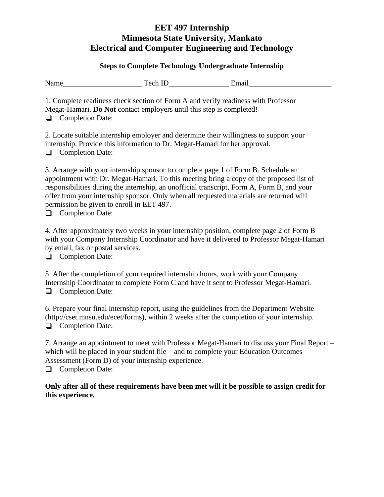#### **Steps to Complete Technology Undergraduate Internship**

| <b>NT</b><br>гуянне | ᠇                      | $\cdot$ $\cdot$<br>$- - -$<br>ля |
|---------------------|------------------------|----------------------------------|
| 1 1 u.z.v           | ----- <i>-</i> -<br>-- |                                  |

1. Complete readiness check section of Form A and verify readiness with Professor Megat-Hamari. **Do Not** contact employers until this step is completed! **Q** Completion Date:

2. Locate suitable internship employer and determine their willingness to support your internship. Provide this information to Dr. Megat-Hamari for her approval. **Q** Completion Date:

3. Arrange with your internship sponsor to complete page 1 of Form B. Schedule an appointment with Dr. Megat-Hamari. To this meeting bring a copy of the proposed list of responsibilities during the internship, an unofficial transcript, Form A, Form B, and your offer from your internship sponsor. Only when all requested materials are returned will permission be given to enroll in EET 497.

**Q** Completion Date:

4. After approximately two weeks in your internship position, complete page 2 of Form B with your Company Internship Coordinator and have it delivered to Professor Megat-Hamari by email, fax or postal services.

**Q** Completion Date:

5. After the completion of your required internship hours, work with your Company Internship Coordinator to complete Form C and have it sent to Professor Megat-Hamari. **Q** Completion Date:

6. Prepare your final internship report, using the guidelines from the Department Website (http://cset.mnsu.edu/ecet/forms), within 2 weeks after the completion of your internship. **Q** Completion Date:

7. Arrange an appointment to meet with Professor Megat-Hamari to discuss your Final Report – which will be placed in your student file – and to complete your Education Outcomes Assessment (Form D) of your internship experience. **Q** Completion Date:

**Only after all of these requirements have been met will it be possible to assign credit for this experience.**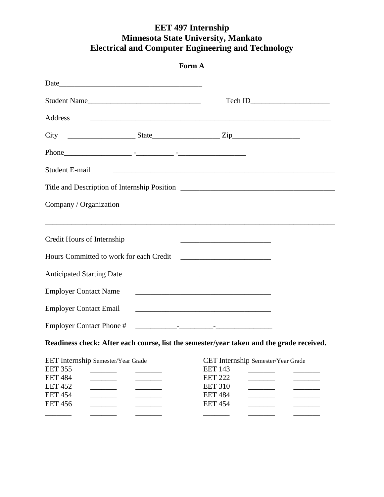|                                                                                                                              | Form A                                                                                                                                                                                                                               |
|------------------------------------------------------------------------------------------------------------------------------|--------------------------------------------------------------------------------------------------------------------------------------------------------------------------------------------------------------------------------------|
|                                                                                                                              |                                                                                                                                                                                                                                      |
| Student Name                                                                                                                 |                                                                                                                                                                                                                                      |
| Address                                                                                                                      | <u> 1989 - Johann John Stone, markin sanat masjid asl nashrida masjid asl nashrida masjid asl nashrida masjid asl</u>                                                                                                                |
|                                                                                                                              |                                                                                                                                                                                                                                      |
|                                                                                                                              |                                                                                                                                                                                                                                      |
| Student E-mail                                                                                                               |                                                                                                                                                                                                                                      |
|                                                                                                                              |                                                                                                                                                                                                                                      |
| Company / Organization                                                                                                       |                                                                                                                                                                                                                                      |
| Credit Hours of Internship                                                                                                   | <u> 2008 - Johann Stoff, deutscher Stoffen und der Stoffen und der Stoffen und der Stoffen und der Stoffen und der Stoffen und der Stoffen und der Stoffen und der Stoffen und der Stoffen und der Stoffen und der Stoffen und d</u> |
| Hours Committed to work for each Credit                                                                                      |                                                                                                                                                                                                                                      |
| <b>Anticipated Starting Date</b>                                                                                             | <u> 1980 - Jan James James Barnett, fransk politik (d. 1980)</u>                                                                                                                                                                     |
| <b>Employer Contact Name</b>                                                                                                 |                                                                                                                                                                                                                                      |
| <b>Employer Contact Email</b>                                                                                                | <u> 1989 - Johann Stein, marwolaethau a bhann an t-Amhainn an t-Amhainn an t-Amhainn an t-Amhainn an t-Amhainn an</u>                                                                                                                |
|                                                                                                                              |                                                                                                                                                                                                                                      |
|                                                                                                                              | Readiness check: After each course, list the semester/year taken and the grade received.                                                                                                                                             |
| EET Internship Semester/Year Grade<br><b>EET 355</b><br><b>EET 484</b><br><b>EET 452</b><br><b>EET 454</b><br><b>EET 456</b> | CET Internship Semester/Year Grade<br><b>EET 143</b><br><b>EET 222</b><br><b>EET 310</b><br><b>EET 484</b><br><b>EET 454</b>                                                                                                         |
|                                                                                                                              |                                                                                                                                                                                                                                      |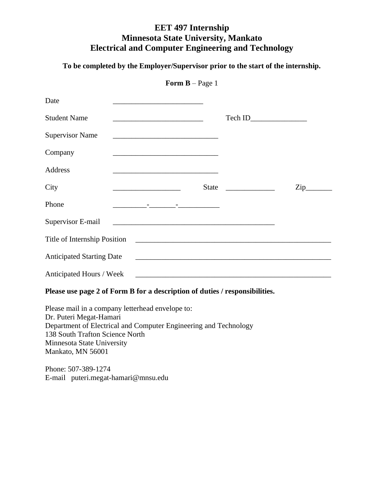**To be completed by the Employer/Supervisor prior to the start of the internship.**

| Date                             |                                                                   |                                                                                                                      |                    |
|----------------------------------|-------------------------------------------------------------------|----------------------------------------------------------------------------------------------------------------------|--------------------|
| <b>Student Name</b>              |                                                                   |                                                                                                                      |                    |
| <b>Supervisor Name</b>           |                                                                   |                                                                                                                      |                    |
| Company                          |                                                                   |                                                                                                                      |                    |
| Address                          |                                                                   |                                                                                                                      |                    |
| City                             | <b>State</b><br><u> 1989 - Johann Barbara, martxa alemaniar a</u> | <u> 1980 - Jan Barbara Barbara, prima popular popular popular popular popular popular popular popular popular po</u> | $Zip$ <sub>—</sub> |
| Phone                            | where the company of the company of                               |                                                                                                                      |                    |
| Supervisor E-mail                |                                                                   |                                                                                                                      |                    |
| Title of Internship Position     |                                                                   |                                                                                                                      |                    |
| <b>Anticipated Starting Date</b> | <u> 1989 - Johann Barn, amerikansk politiker (d. 1989)</u>        |                                                                                                                      |                    |
| Anticipated Hours / Week         |                                                                   |                                                                                                                      |                    |

**Form B** – Page 1

**Please use page 2 of Form B for a description of duties / responsibilities.**

Please mail in a company letterhead envelope to: Dr. Puteri Megat-Hamari Department of Electrical and Computer Engineering and Technology 138 South Trafton Science North Minnesota State University Mankato, MN 56001

Phone: 507-389-1274 E-mail puteri.megat-hamari@mnsu.edu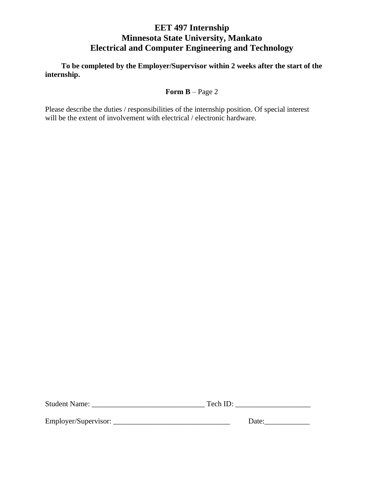**To be completed by the Employer/Supervisor within 2 weeks after the start of the internship.**

**Form B** – Page 2

Please describe the duties / responsibilities of the internship position. Of special interest will be the extent of involvement with electrical / electronic hardware.

| <b>Student Name:</b> |  | Tech |  |
|----------------------|--|------|--|
|----------------------|--|------|--|

Employer/Supervisor: \_\_\_\_\_\_\_\_\_\_\_\_\_\_\_\_\_\_\_\_\_\_\_\_\_\_\_\_\_\_\_ Date:\_\_\_\_\_\_\_\_\_\_\_\_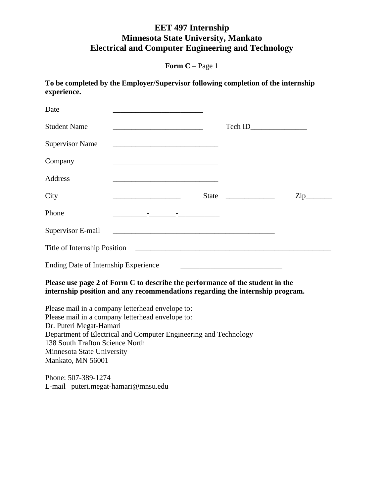**Form C** – Page 1

**To be completed by the Employer/Supervisor following completion of the internship experience.**

| Date                                                                                                          |                                                                                                                                                                          |                                                                                                                       |                  |
|---------------------------------------------------------------------------------------------------------------|--------------------------------------------------------------------------------------------------------------------------------------------------------------------------|-----------------------------------------------------------------------------------------------------------------------|------------------|
| <b>Student Name</b>                                                                                           | the control of the control of the control of the control of the control of the control of                                                                                |                                                                                                                       |                  |
| <b>Supervisor Name</b>                                                                                        |                                                                                                                                                                          |                                                                                                                       |                  |
| Company                                                                                                       | the control of the control of the control of the control of the control of the control of                                                                                |                                                                                                                       |                  |
| <b>Address</b>                                                                                                | <u> 1989 - Johann Barbara, markazi bashkar mashrida ma'lumot</u>                                                                                                         |                                                                                                                       |                  |
| City                                                                                                          |                                                                                                                                                                          |                                                                                                                       | $\overline{Lip}$ |
| Phone                                                                                                         | <u> 2002 - John Bernson, film andre stad i stad og stad i stad i stad i stad i stad i stad i stad i stad i stad i</u>                                                    |                                                                                                                       |                  |
| Supervisor E-mail                                                                                             |                                                                                                                                                                          |                                                                                                                       |                  |
|                                                                                                               |                                                                                                                                                                          |                                                                                                                       |                  |
| <b>Ending Date of Internship Experience</b>                                                                   |                                                                                                                                                                          | <u> 2008 - Andrea Britain, amerikan personal di personal dengan personal di personal di personal di personal di p</u> |                  |
|                                                                                                               | Please use page 2 of Form C to describe the performance of the student in the<br>internship position and any recommendations regarding the internship program.           |                                                                                                                       |                  |
| Dr. Puteri Megat-Hamari<br>138 South Trafton Science North<br>Minnesota State University<br>Mankato, MN 56001 | Please mail in a company letterhead envelope to:<br>Please mail in a company letterhead envelope to:<br>Department of Electrical and Computer Engineering and Technology |                                                                                                                       |                  |
| $Phona: 507-389-1274$                                                                                         |                                                                                                                                                                          |                                                                                                                       |                  |

Phone: 507-389-1274 E-mail puteri.megat-hamari@mnsu.edu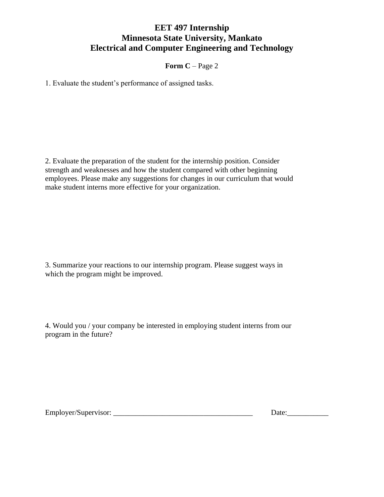**Form C** – Page 2

1. Evaluate the student's performance of assigned tasks.

2. Evaluate the preparation of the student for the internship position. Consider strength and weaknesses and how the student compared with other beginning employees. Please make any suggestions for changes in our curriculum that would make student interns more effective for your organization.

3. Summarize your reactions to our internship program. Please suggest ways in which the program might be improved.

4. Would you / your company be interested in employing student interns from our program in the future?

Employer/Supervisor: \_\_\_\_\_\_\_\_\_\_\_\_\_\_\_\_\_\_\_\_\_\_\_\_\_\_\_\_\_\_\_\_\_\_\_\_\_ Date:\_\_\_\_\_\_\_\_\_\_\_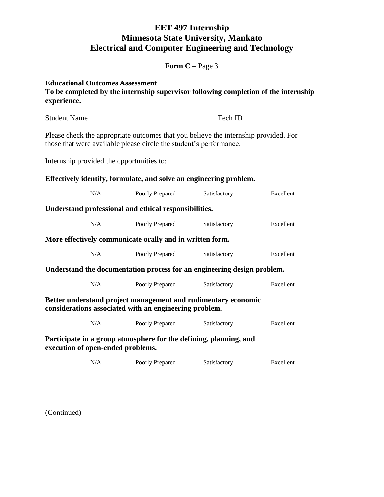**Form C –** Page 3

| experience. |              | <b>Educational Outcomes Assessment</b><br>To be completed by the internship supervisor following completion of the internship                             |              |           |
|-------------|--------------|-----------------------------------------------------------------------------------------------------------------------------------------------------------|--------------|-----------|
|             | Student Name |                                                                                                                                                           |              |           |
|             |              | Please check the appropriate outcomes that you believe the internship provided. For<br>those that were available please circle the student's performance. |              |           |
|             |              | Internship provided the opportunities to:                                                                                                                 |              |           |
|             |              | Effectively identify, formulate, and solve an engineering problem.                                                                                        |              |           |
|             | N/A          | Poorly Prepared                                                                                                                                           | Satisfactory | Excellent |
|             |              | Understand professional and ethical responsibilities.                                                                                                     |              |           |
|             | N/A          | Poorly Prepared                                                                                                                                           | Satisfactory | Excellent |
|             |              | More effectively communicate orally and in written form.                                                                                                  |              |           |
|             | N/A          | Poorly Prepared                                                                                                                                           | Satisfactory | Excellent |
|             |              | Understand the documentation process for an engineering design problem.                                                                                   |              |           |
|             | N/A          | Poorly Prepared                                                                                                                                           | Satisfactory | Excellent |
|             |              | Better understand project management and rudimentary economic<br>considerations associated with an engineering problem.                                   |              |           |
|             | N/A          | Poorly Prepared                                                                                                                                           | Satisfactory | Excellent |
|             |              | Participate in a group atmosphere for the defining, planning, and<br>execution of open-ended problems.                                                    |              |           |
|             | N/A          | Poorly Prepared                                                                                                                                           | Satisfactory | Excellent |

(Continued)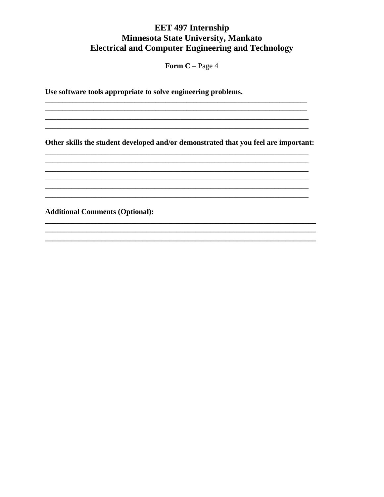Form  $C - Page 4$ 

Use software tools appropriate to solve engineering problems.

Other skills the student developed and/or demonstrated that you feel are important:

<u> 1989 - Johann John Stone, Amerikaansk politiker (d. 1989)</u>

**Additional Comments (Optional):**